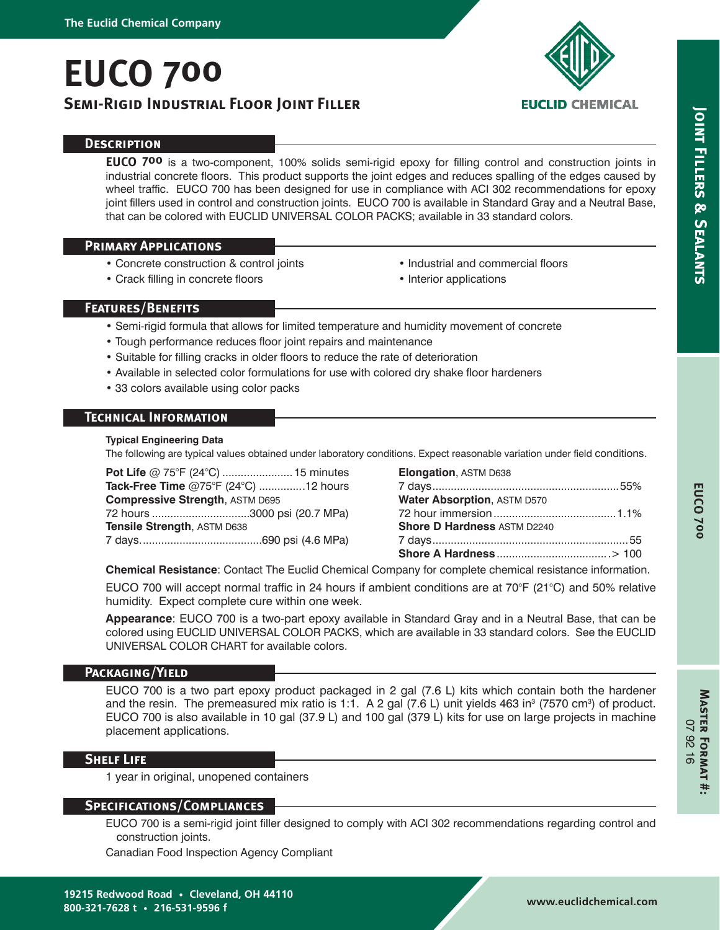# **EUCO 700**

# **Semi-Rigid Industrial Floor Joint Filler**



# **EUCLID CHEMICAL**

# **Description**

**EUCO 700** is a two-component, 100% solids semi-rigid epoxy for filling control and construction joints in industrial concrete floors. This product supports the joint edges and reduces spalling of the edges caused by wheel traffic. EUCO 700 has been designed for use in compliance with ACI 302 recommendations for epoxy joint fillers used in control and construction joints. EUCO 700 is available in Standard Gray and a Neutral Base, that can be colored with EUCLID UNIVERSAL COLOR PACKS; available in 33 standard colors.

### **Primary Applications**

- Concrete construction & control joints
- Crack filling in concrete floors
- Industrial and commercial floors
- Interior applications

# **Features/Benefits**

- Semi-rigid formula that allows for limited temperature and humidity movement of concrete
- Tough performance reduces floor joint repairs and maintenance
- Suitable for filling cracks in older floors to reduce the rate of deterioration
- Available in selected color formulations for use with colored dry shake floor hardeners
- 33 colors available using color packs

# **Technical Information**

#### **Typical Engineering Data**

The following are typical values obtained under laboratory conditions. Expect reasonable variation under field conditions.

**Pot Life** @ 75°F (24°C) ....................... 15 minutes **Tack-Free Time** @75°F (24°C) ...............12 hours **Compressive Strength**, ASTM D695 72 hours ................................3000 psi (20.7 MPa) **Tensile Strength**, ASTM D638 7 days........................................690 psi (4.6 MPa)

| Elongation, ASTM D638              |  |
|------------------------------------|--|
|                                    |  |
| Water Absorption, ASTM D570        |  |
|                                    |  |
| <b>Shore D Hardness ASTM D2240</b> |  |
|                                    |  |
|                                    |  |

**Chemical Resistance**: Contact The Euclid Chemical Company for complete chemical resistance information.

EUCO 700 will accept normal traffic in 24 hours if ambient conditions are at 70°F (21°C) and 50% relative humidity. Expect complete cure within one week.

**Appearance**: EUCO 700 is a two-part epoxy available in Standard Gray and in a Neutral Base, that can be colored using EUCLID UNIVERSAL COLOR PACKS, which are available in 33 standard colors. See the EUCLID UNIVERSAL COLOR CHART for available colors.

#### **Packaging/Yield**

EUCO 700 is a two part epoxy product packaged in 2 gal (7.6 L) kits which contain both the hardener and the resin. The premeasured mix ratio is 1:1. A 2 gal (7.6 L) unit yields 463 in $3$  (7570 cm $3$ ) of product. EUCO 700 is also available in 10 gal (37.9 L) and 100 gal (379 L) kits for use on large projects in machine placement applications.

# **Shelf Life**

1 year in original, unopened containers

#### **Specifications/Compliances**

EUCO 700 is a semi-rigid joint filler designed to comply with ACI 302 recommendations regarding control and construction joints.

Canadian Food Inspection Agency Compliant